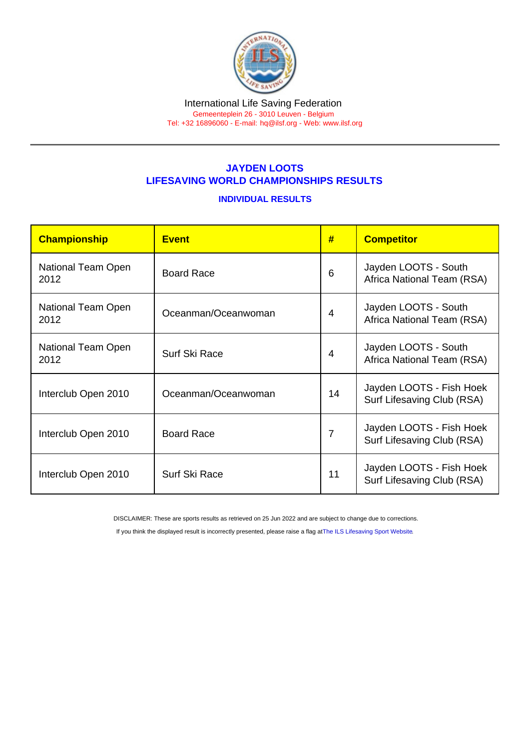## JAYDEN LOOTS LIFESAVING WORLD CHAMPIONSHIPS RESULTS

## INDIVIDUAL RESULTS

| Championship               | <b>Event</b>         | #              | <b>Competitor</b>                                      |
|----------------------------|----------------------|----------------|--------------------------------------------------------|
| National Team Open<br>2012 | <b>Board Race</b>    | 6              | Jayden LOOTS - South<br>Africa National Team (RSA)     |
| National Team Open<br>2012 | Oceanman/Oceanwoman  | 4              | Jayden LOOTS - South<br>Africa National Team (RSA)     |
| National Team Open<br>2012 | <b>Surf Ski Race</b> | 4              | Jayden LOOTS - South<br>Africa National Team (RSA)     |
| Interclub Open 2010        | Oceanman/Oceanwoman  | 14             | Jayden LOOTS - Fish Hoek<br>Surf Lifesaving Club (RSA) |
| Interclub Open 2010        | <b>Board Race</b>    | $\overline{7}$ | Jayden LOOTS - Fish Hoek<br>Surf Lifesaving Club (RSA) |
| Interclub Open 2010        | Surf Ski Race        | 11             | Jayden LOOTS - Fish Hoek<br>Surf Lifesaving Club (RSA) |

DISCLAIMER: These are sports results as retrieved on 25 Jun 2022 and are subject to change due to corrections.

If you think the displayed result is incorrectly presented, please raise a flag at [The ILS Lifesaving Sport Website.](https://sport.ilsf.org)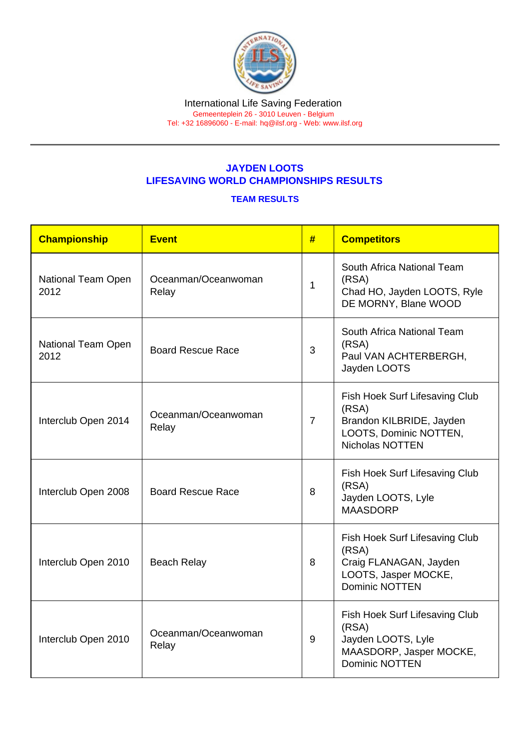## JAYDEN LOOTS LIFESAVING WORLD CHAMPIONSHIPS RESULTS

## TEAM RESULTS

| Championship               | Event                        | #              | <b>Competitors</b>                                                                                                 |
|----------------------------|------------------------------|----------------|--------------------------------------------------------------------------------------------------------------------|
| National Team Open<br>2012 | Oceanman/Oceanwoman<br>Relay | 1              | South Africa National Team<br>(RSA)<br>Chad HO, Jayden LOOTS, Ryle<br>DE MORNY, Blane WOOD                         |
| National Team Open<br>2012 | <b>Board Rescue Race</b>     | 3              | South Africa National Team<br>(RSA)<br>Paul VAN ACHTERBERGH,<br>Jayden LOOTS                                       |
| Interclub Open 2014        | Oceanman/Oceanwoman<br>Relay | $\overline{7}$ | Fish Hoek Surf Lifesaving Club<br>(RSA)<br>Brandon KILBRIDE, Jayden<br>LOOTS, Dominic NOTTEN,<br>Nicholas NOTTEN   |
| Interclub Open 2008        | <b>Board Rescue Race</b>     | 8              | Fish Hoek Surf Lifesaving Club<br>(RSA)<br>Jayden LOOTS, Lyle<br><b>MAASDORP</b>                                   |
| Interclub Open 2010        | <b>Beach Relay</b>           | 8              | Fish Hoek Surf Lifesaving Club<br>(RSA)<br>Craig FLANAGAN, Jayden<br>LOOTS, Jasper MOCKE,<br><b>Dominic NOTTEN</b> |
| Interclub Open 2010        | Oceanman/Oceanwoman<br>Relay | 9              | Fish Hoek Surf Lifesaving Club<br>(RSA)<br>Jayden LOOTS, Lyle<br>MAASDORP, Jasper MOCKE,<br><b>Dominic NOTTEN</b>  |